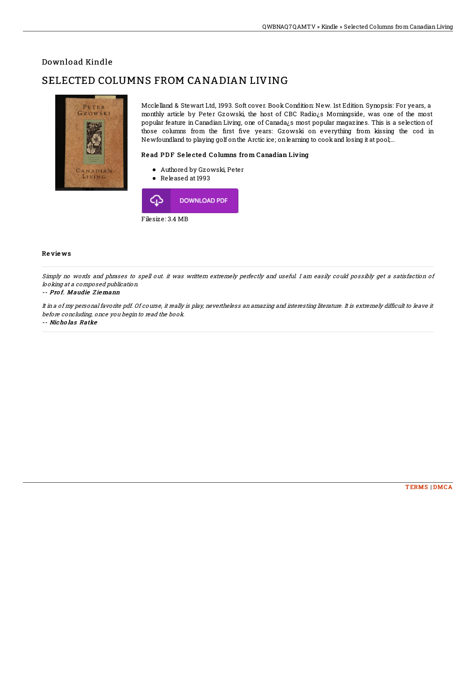## Download Kindle

# SELECTED COLUMNS FROM CANADIAN LIVING



Mcclelland & Stewart Ltd, 1993. Soft cover. Book Condition: New. 1st Edition. Synopsis: For years, a monthly article by Peter Gzowski, the host of CBC Radio¿s Morningside, was one of the most popular feature in Canadian Living, one of Canada¿s most popular magazines. This is a selection of those columns from the first five years: Gzowski on everything from kissing the cod in Newfoundland to playing golf onthe Arctic ice; onlearning to cookand losing it at pool;...

### Read PDF Selected Columns from Canadian Living

- Authored by Gzowski, Peter
- Released at 1993



### Re vie ws

Simply no words and phrases to spell out. it was writtern extremely perfectly and useful. I am easily could possibly get a satisfaction of looking at <sup>a</sup> composed publication.

#### -- Pro f. Maudie Z iemann

It in a of my personal favorite pdf. Of course, it really is play, nevertheless an amazing and interesting literature. It is extremely difficult to leave it before concluding, once you begin to read the book.

#### -- Nicho las Ratke